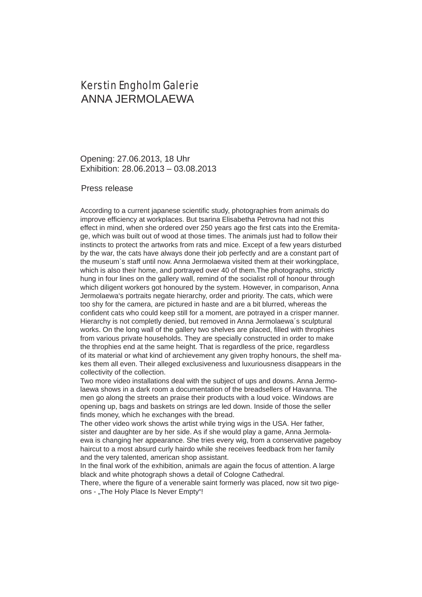## Kerstin Engholm Galerie ANNA JERMOLAEWA

Opening: 27.06.2013, 18 Uhr Exhibition: 28.06.2013 – 03.08.2013

## Press release

According to a current japanese scientific study, photographies from animals do improve efficiency at workplaces. But tsarina Elisabetha Petrovna had not this effect in mind, when she ordered over 250 years ago the first cats into the Eremitage, which was built out of wood at those times. The animals just had to follow their instincts to protect the artworks from rats and mice. Except of a few years disturbed by the war, the cats have always done their job perfectly and are a constant part of the museum`s staff until now. Anna Jermolaewa visited them at their workingplace, which is also their home, and portrayed over 40 of them. The photographs, strictly hung in four lines on the gallery wall, remind of the socialist roll of honour through which diligent workers got honoured by the system. However, in comparison, Anna Jermolaewa's portraits negate hierarchy, order and priority. The cats, which were too shy for the camera, are pictured in haste and are a bit blurred, whereas the confident cats who could keep still for a moment, are potrayed in a crisper manner. Hierarchy is not completly denied, but removed in Anna Jermolaewa´s sculptural works. On the long wall of the gallery two shelves are placed, filled with throphies from various private households. They are specially constructed in order to make the throphies end at the same height. That is regardless of the price, regardless of its material or what kind of archievement any given trophy honours, the shelf makes them all even. Their alleged exclusiveness and luxuriousness disappears in the collectivity of the collection.

Two more video installations deal with the subject of ups and downs. Anna Jermolaewa shows in a dark room a documentation of the breadsellers of Havanna. The men go along the streets an praise their products with a loud voice. Windows are opening up, bags and baskets on strings are led down. Inside of those the seller finds money, which he exchanges with the bread.

The other video work shows the artist while trying wigs in the USA. Her father, sister and daughter are by her side. As if she would play a game, Anna Jermolaewa is changing her appearance. She tries every wig, from a conservative pageboy haircut to a most absurd curly hairdo while she receives feedback from her family and the very talented, american shop assistant.

In the final work of the exhibition, animals are again the focus of attention. A large black and white photograph shows a detail of Cologne Cathedral.

There, where the figure of a venerable saint formerly was placed, now sit two pigeons - "The Holy Place Is Never Empty"!